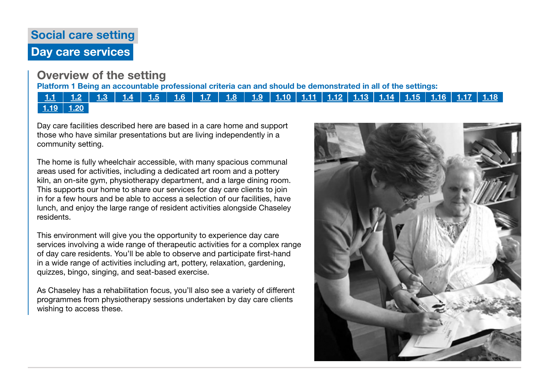# Social care setting Day care services

## Overview of the setting

Platform 1 Being an accountable professional criteria can and should be demonstrated in all of the settings:

### [1.1](https://www.skillsforcare.org.uk/Documents/Learning-and-development/Regulated-professionals/Registered-nurses/Future-nursing-proficiencies/future-nurse-proficiencies.pdf#page=8) | [1.2](https://www.skillsforcare.org.uk/Documents/Learning-and-development/Regulated-professionals/Registered-nurses/Future-nursing-proficiencies/future-nurse-proficiencies.pdf#page=8) | [1.3](https://www.skillsforcare.org.uk/Documents/Learning-and-development/Regulated-professionals/Registered-nurses/Future-nursing-proficiencies/future-nurse-proficiencies.pdf#page=8) | [1.4](https://www.skillsforcare.org.uk/Documents/Learning-and-development/Regulated-professionals/Registered-nurses/Future-nursing-proficiencies/future-nurse-proficiencies.pdf#page=8) | [1.5](https://www.skillsforcare.org.uk/Documents/Learning-and-development/Regulated-professionals/Registered-nurses/Future-nursing-proficiencies/future-nurse-proficiencies.pdf#page=8) | [1.6](https://www.skillsforcare.org.uk/Documents/Learning-and-development/Regulated-professionals/Registered-nurses/Future-nursing-proficiencies/future-nurse-proficiencies.pdf#page=8) | [1.7](https://www.skillsforcare.org.uk/Documents/Learning-and-development/Regulated-professionals/Registered-nurses/Future-nursing-proficiencies/future-nurse-proficiencies.pdf#page=8) | [1.8](https://www.skillsforcare.org.uk/Documents/Learning-and-development/Regulated-professionals/Registered-nurses/Future-nursing-proficiencies/future-nurse-proficiencies.pdf#page=8) | [1.9](https://www.skillsforcare.org.uk/Documents/Learning-and-development/Regulated-professionals/Registered-nurses/Future-nursing-proficiencies/future-nurse-proficiencies.pdf#page=8) | [1.10](https://www.skillsforcare.org.uk/Documents/Learning-and-development/Regulated-professionals/Registered-nurses/Future-nursing-proficiencies/future-nurse-proficiencies.pdf#page=9) | [1.11](https://www.skillsforcare.org.uk/Documents/Learning-and-development/Regulated-professionals/Registered-nurses/Future-nursing-proficiencies/future-nurse-proficiencies.pdf#page=9) | [1.12](https://www.skillsforcare.org.uk/Documents/Learning-and-development/Regulated-professionals/Registered-nurses/Future-nursing-proficiencies/future-nurse-proficiencies.pdf#page=9) | [1.13](https://www.skillsforcare.org.uk/Documents/Learning-and-development/Regulated-professionals/Registered-nurses/Future-nursing-proficiencies/future-nurse-proficiencies.pdf#page=9) | [1.14](https://www.skillsforcare.org.uk/Documents/Learning-and-development/Regulated-professionals/Registered-nurses/Future-nursing-proficiencies/future-nurse-proficiencies.pdf#page=9) | [1.15](https://www.skillsforcare.org.uk/Documents/Learning-and-development/Regulated-professionals/Registered-nurses/Future-nursing-proficiencies/future-nurse-proficiencies.pdf#page=9) | [1.16](https://www.skillsforcare.org.uk/Documents/Learning-and-development/Regulated-professionals/Registered-nurses/Future-nursing-proficiencies/future-nurse-proficiencies.pdf#page=9) | [1.17](https://www.skillsforcare.org.uk/Documents/Learning-and-development/Regulated-professionals/Registered-nurses/Future-nursing-proficiencies/future-nurse-proficiencies.pdf#page=9) | [1.18](https://www.skillsforcare.org.uk/Documents/Learning-and-development/Regulated-professionals/Registered-nurses/Future-nursing-proficiencies/future-nurse-proficiencies.pdf#page=9)  $1.19$  | [1.20](https://www.skillsforcare.org.uk/Documents/Learning-and-development/Regulated-professionals/Registered-nurses/Future-nursing-proficiencies/future-nurse-proficiencies.pdf#page=9)

Day care facilities described here are based in a care home and support those who have similar presentations but are living independently in a community setting.

The home is fully wheelchair accessible, with many spacious communal areas used for activities, including a dedicated art room and a pottery kiln, an on-site gym, physiotherapy department, and a large dining room. This supports our home to share our services for day care clients to join in for a few hours and be able to access a selection of our facilities, have lunch, and enjoy the large range of resident activities alongside Chaseley residents.

This environment will give you the opportunity to experience day care services involving a wide range of therapeutic activities for a complex range of day care residents. You'll be able to observe and participate first-hand in a wide range of activities including art, pottery, relaxation, gardening, quizzes, bingo, singing, and seat-based exercise.

As Chaseley has a rehabilitation focus, you'll also see a variety of different programmes from physiotherapy sessions undertaken by day care clients wishing to access these.

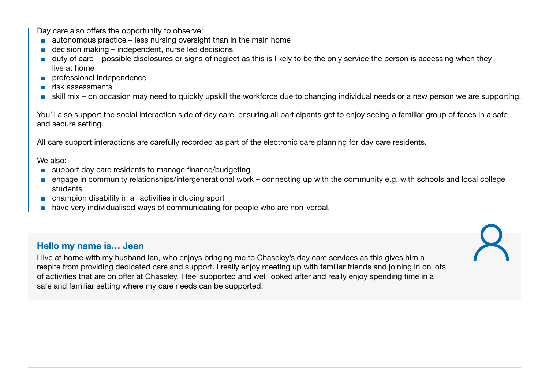Day care also offers the opportunity to observe:

- $\blacksquare$  autonomous practice less nursing oversight than in the main home
- $\blacksquare$  decision making independent, nurse led decisions
- duty of care possible disclosures or signs of neglect as this is likely to be the only service the person is accessing when they live at home
- professional independence
- risk assessments
- skill mix on occasion may need to quickly upskill the workforce due to changing individual needs or a new person we are supporting.

You'll also support the social interaction side of day care, ensuring all participants get to enjoy seeing a familiar group of faces in a safe and secure setting.

All care support interactions are carefully recorded as part of the electronic care planning for day care residents.

We also:

- support day care residents to manage finance/budgeting
- engage in community relationships/intergenerational work connecting up with the community e.g. with schools and local college students
- champion disability in all activities including sport
- have very individualised ways of communicating for people who are non-verbal.

### Hello my name is… Jean

I live at home with my husband Ian, who enjoys bringing me to Chaseley's day care services as this gives him a respite from providing dedicated care and support. I really enjoy meeting up with familiar friends and joining in on lots of activities that are on offer at Chaseley. I feel supported and well looked after and really enjoy spending time in a safe and familiar setting where my care needs can be supported.

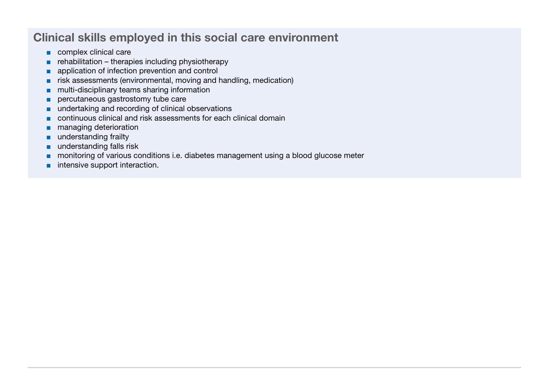## Clinical skills employed in this social care environment

- complex clinical care
- $\blacksquare$  rehabilitation therapies including physiotherapy
- application of infection prevention and control
- risk assessments (environmental, moving and handling, medication)
- multi-disciplinary teams sharing information
- percutaneous gastrostomy tube care
- undertaking and recording of clinical observations
- continuous clinical and risk assessments for each clinical domain
- managing deterioration
- understanding frailty
- understanding falls risk
- monitoring of various conditions i.e. diabetes management using a blood glucose meter
- intensive support interaction.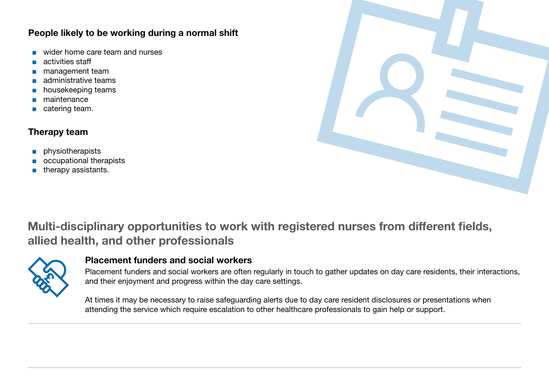### People likely to be working during a normal shift

- wider home care team and nurses
- activities staff
- management team
- administrative teams
- housekeeping teams
- maintenance
- catering team.

## Therapy team

- physiotherapists
- occupational therapists
- therapy assistants.



# Multi-disciplinary opportunities to work with registered nurses from different fields, allied health, and other professionals



### Placement funders and social workers

Placement funders and social workers are often regularly in touch to gather updates on day care residents, their interactions, and their enjoyment and progress within the day care settings.

At times it may be necessary to raise safeguarding alerts due to day care resident disclosures or presentations when attending the service which require escalation to other healthcare professionals to gain help or support.